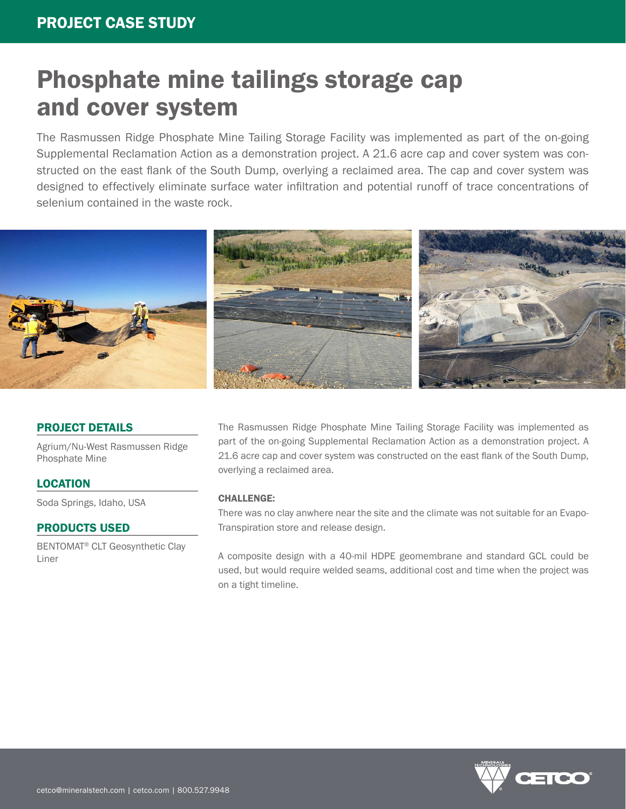# Phosphate mine tailings storage cap and cover system

The Rasmussen Ridge Phosphate Mine Tailing Storage Facility was implemented as part of the on-going Supplemental Reclamation Action as a demonstration project. A 21.6 acre cap and cover system was constructed on the east flank of the South Dump, overlying a reclaimed area. The cap and cover system was designed to effectively eliminate surface water infiltration and potential runoff of trace concentrations of selenium contained in the waste rock.



### PROJECT DETAILS

Agrium/Nu-West Rasmussen Ridge Phosphate Mine

LOCATION

Soda Springs, Idaho, USA

#### PRODUCTS USED

BENTOMAT® CLT Geosynthetic Clay Liner

The Rasmussen Ridge Phosphate Mine Tailing Storage Facility was implemented as part of the on-going Supplemental Reclamation Action as a demonstration project. A 21.6 acre cap and cover system was constructed on the east flank of the South Dump, overlying a reclaimed area.

#### CHALLENGE:

There was no clay anwhere near the site and the climate was not suitable for an Evapo-Transpiration store and release design.

A composite design with a 40-mil HDPE geomembrane and standard GCL could be used, but would require welded seams, additional cost and time when the project was on a tight timeline.